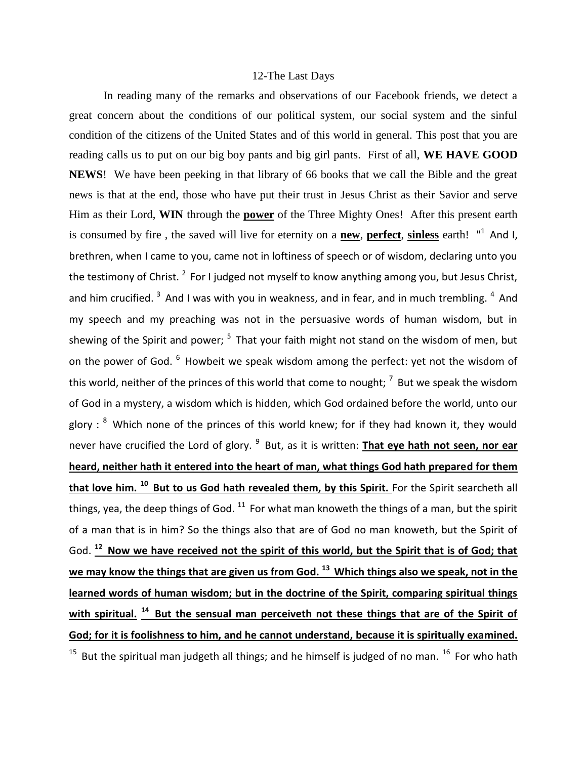## 12-The Last Days

In reading many of the remarks and observations of our Facebook friends, we detect a great concern about the conditions of our political system, our social system and the sinful condition of the citizens of the United States and of this world in general. This post that you are reading calls us to put on our big boy pants and big girl pants. First of all, **WE HAVE GOOD NEWS**! We have been peeking in that library of 66 books that we call the Bible and the great news is that at the end, those who have put their trust in Jesus Christ as their Savior and serve Him as their Lord, **WIN** through the **power** of the Three Mighty Ones! After this present earth is consumed by fire, the saved will live for eternity on a **new**, **perfect**, **sinless** earth! "<sup>1</sup> And I, brethren, when I came to you, came not in loftiness of speech or of wisdom, declaring unto you the testimony of Christ.  $^2$  For I judged not myself to know anything among you, but Jesus Christ, and him crucified.  $3$  And I was with you in weakness, and in fear, and in much trembling.  $4$  And my speech and my preaching was not in the persuasive words of human wisdom, but in shewing of the Spirit and power;  $5$  That your faith might not stand on the wisdom of men, but on the power of God. <sup>6</sup> Howbeit we speak wisdom among the perfect: yet not the wisdom of this world, neither of the princes of this world that come to nought;  $<sup>7</sup>$  But we speak the wisdom</sup> of God in a mystery, a wisdom which is hidden, which God ordained before the world, unto our glory :  $8$  Which none of the princes of this world knew; for if they had known it, they would never have crucified the Lord of glory. <sup>9</sup> But, as it is written: **That eye hath not seen, nor ear heard, neither hath it entered into the heart of man, what things God hath prepared for them that love him. <sup>10</sup>But to us God hath revealed them, by this Spirit.** For the Spirit searcheth all things, yea, the deep things of God.  $^{11}$  For what man knoweth the things of a man, but the spirit of a man that is in him? So the things also that are of God no man knoweth, but the Spirit of God. **<sup>12</sup>Now we have received not the spirit of this world, but the Spirit that is of God; that we may know the things that are given us from God. <sup>13</sup>Which things also we speak, not in the learned words of human wisdom; but in the doctrine of the Spirit, comparing spiritual things**  with spiritual.<sup>14</sup> But the sensual man perceiveth not these things that are of the Spirit of **God; for it is foolishness to him, and he cannot understand, because it is spiritually examined.**  <sup>15</sup> But the spiritual man judgeth all things; and he himself is judged of no man. <sup>16</sup> For who hath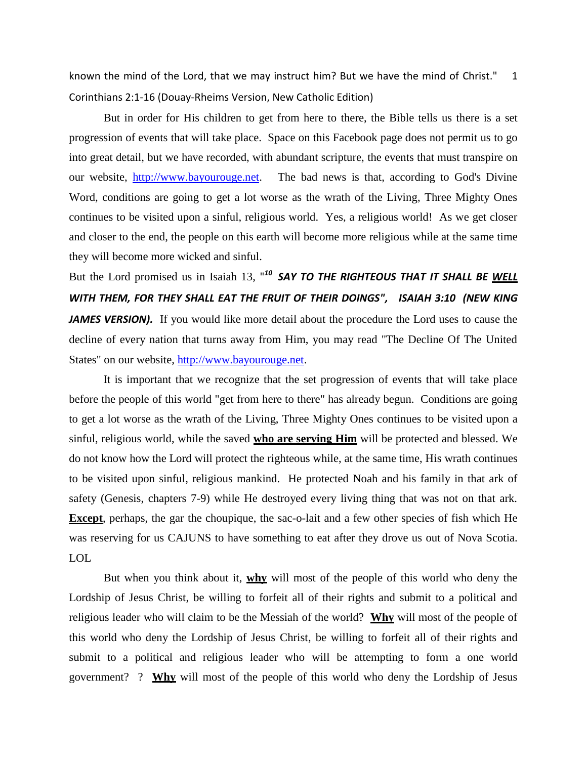known the mind of the Lord, that we may instruct him? But we have the mind of Christ." 1 Corinthians 2:1-16 (Douay-Rheims Version, New Catholic Edition)

But in order for His children to get from here to there, the Bible tells us there is a set progression of events that will take place. Space on this Facebook page does not permit us to go into great detail, but we have recorded, with abundant scripture, the events that must transpire on our website, [http://www.bayourouge.net.](http://www.bayourouge.net/) The bad news is that, according to God's Divine Word, conditions are going to get a lot worse as the wrath of the Living, Three Mighty Ones continues to be visited upon a sinful, religious world. Yes, a religious world! As we get closer and closer to the end, the people on this earth will become more religious while at the same time they will become more wicked and sinful.

But the Lord promised us in Isaiah 13, " *<sup>10</sup>SAY TO THE RIGHTEOUS THAT IT SHALL BE WELL WITH THEM, FOR THEY SHALL EAT THE FRUIT OF THEIR DOINGS", ISAIAH 3:10 (NEW KING JAMES VERSION).* If you would like more detail about the procedure the Lord uses to cause the decline of every nation that turns away from Him, you may read "The Decline Of The United States" on our website, [http://www.bayourouge.net.](http://www.bayourouge.net/)

It is important that we recognize that the set progression of events that will take place before the people of this world "get from here to there" has already begun. Conditions are going to get a lot worse as the wrath of the Living, Three Mighty Ones continues to be visited upon a sinful, religious world, while the saved **who are serving Him** will be protected and blessed. We do not know how the Lord will protect the righteous while, at the same time, His wrath continues to be visited upon sinful, religious mankind. He protected Noah and his family in that ark of safety (Genesis, chapters 7-9) while He destroyed every living thing that was not on that ark. **Except**, perhaps, the gar the choupique, the sac-o-lait and a few other species of fish which He was reserving for us CAJUNS to have something to eat after they drove us out of Nova Scotia. LOL

But when you think about it, **why** will most of the people of this world who deny the Lordship of Jesus Christ, be willing to forfeit all of their rights and submit to a political and religious leader who will claim to be the Messiah of the world? **Why** will most of the people of this world who deny the Lordship of Jesus Christ, be willing to forfeit all of their rights and submit to a political and religious leader who will be attempting to form a one world government? ? **Why** will most of the people of this world who deny the Lordship of Jesus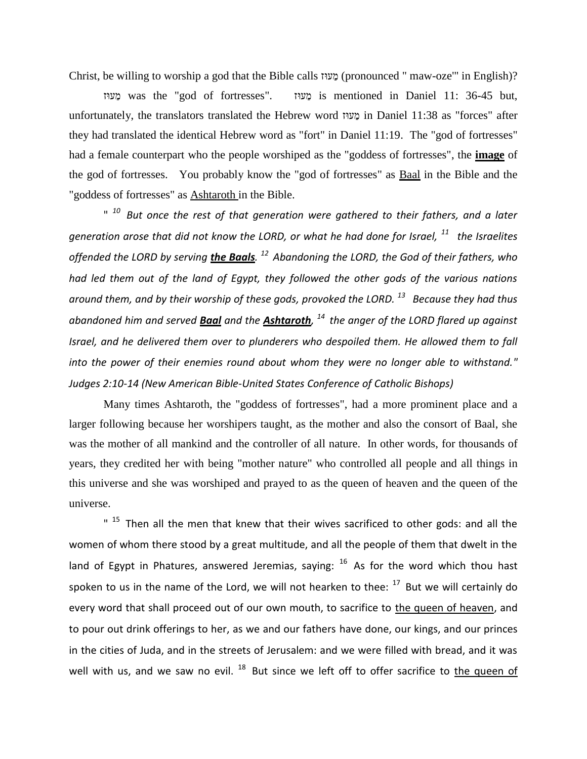Christ, be willing to worship a god that the Bible calls (pronounced " maw-oze'" in English)?

 was the "god of fortresses". is mentioned in Daniel 11: 36-45 but, unfortunately, the translators translated the Hebrew word in Daniel 11:38 as "forces" after they had translated the identical Hebrew word as "fort" in Daniel 11:19. The "god of fortresses" had a female counterpart who the people worshiped as the "goddess of fortresses", the **image** of the god of fortresses. You probably know the "god of fortresses" as Baal in the Bible and the "goddess of fortresses" as **Ashtaroth** in the Bible.

<sup>" 10</sup> But once the rest of that generation were gathered to their fathers, and a later *generation arose that did not know the LORD, or what he had done for Israel, <sup>11</sup>the Israelites offended the LORD by serving the Baals. <sup>12</sup>Abandoning the LORD, the God of their fathers, who had led them out of the land of Egypt, they followed the other gods of the various nations around them, and by their worship of these gods, provoked the LORD. <sup>13</sup>Because they had thus abandoned him and served Baal and the Ashtaroth, <sup>14</sup>the anger of the LORD flared up against Israel, and he delivered them over to plunderers who despoiled them. He allowed them to fall into the power of their enemies round about whom they were no longer able to withstand." Judges 2:10-14 (New American Bible-United States Conference of Catholic Bishops)* 

Many times Ashtaroth, the "goddess of fortresses", had a more prominent place and a larger following because her worshipers taught, as the mother and also the consort of Baal, she was the mother of all mankind and the controller of all nature. In other words, for thousands of years, they credited her with being "mother nature" who controlled all people and all things in this universe and she was worshiped and prayed to as the queen of heaven and the queen of the universe.

 $"$  <sup>15</sup> Then all the men that knew that their wives sacrificed to other gods: and all the women of whom there stood by a great multitude, and all the people of them that dwelt in the land of Egypt in Phatures, answered Jeremias, saying:  $16$  As for the word which thou hast spoken to us in the name of the Lord, we will not hearken to thee:  $17$  But we will certainly do every word that shall proceed out of our own mouth, to sacrifice to the queen of heaven, and to pour out drink offerings to her, as we and our fathers have done, our kings, and our princes in the cities of Juda, and in the streets of Jerusalem: and we were filled with bread, and it was well with us, and we saw no evil.  $^{18}$  But since we left off to offer sacrifice to the queen of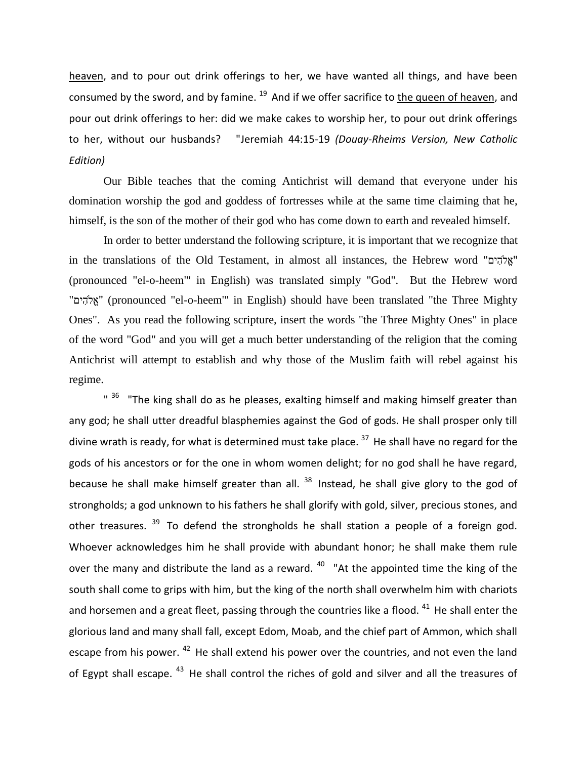heaven, and to pour out drink offerings to her, we have wanted all things, and have been consumed by the sword, and by famine.  $19$  And if we offer sacrifice to the queen of heaven, and pour out drink offerings to her: did we make cakes to worship her, to pour out drink offerings to her, without our husbands? "Jeremiah 44:15-19 *(Douay-Rheims Version, New Catholic Edition)*

Our Bible teaches that the coming Antichrist will demand that everyone under his domination worship the god and goddess of fortresses while at the same time claiming that he, himself, is the son of the mother of their god who has come down to earth and revealed himself.

In order to better understand the following scripture, it is important that we recognize that in the translations of the Old Testament, in almost all instances, the Hebrew word " (pronounced "el-o-heem'" in English) was translated simply "God". But the Hebrew word "אֵלְהִים" (pronounced "el-o-heem" in English) should have been translated "the Three Mighty Ones". As you read the following scripture, insert the words "the Three Mighty Ones" in place of the word "God" and you will get a much better understanding of the religion that the coming Antichrist will attempt to establish and why those of the Muslim faith will rebel against his regime.

 $"$   $^{36}$  "The king shall do as he pleases, exalting himself and making himself greater than any god; he shall utter dreadful blasphemies against the God of gods. He shall prosper only till divine wrath is ready, for what is determined must take place.  $37$  He shall have no regard for the gods of his ancestors or for the one in whom women delight; for no god shall he have regard, because he shall make himself greater than all.  $38$  Instead, he shall give glory to the god of strongholds; a god unknown to his fathers he shall glorify with gold, silver, precious stones, and other treasures.  $39$  To defend the strongholds he shall station a people of a foreign god. Whoever acknowledges him he shall provide with abundant honor; he shall make them rule over the many and distribute the land as a reward.  $40$  "At the appointed time the king of the south shall come to grips with him, but the king of the north shall overwhelm him with chariots and horsemen and a great fleet, passing through the countries like a flood.  $41$  He shall enter the glorious land and many shall fall, except Edom, Moab, and the chief part of Ammon, which shall escape from his power.  $42$  He shall extend his power over the countries, and not even the land of Egypt shall escape. <sup>43</sup> He shall control the riches of gold and silver and all the treasures of